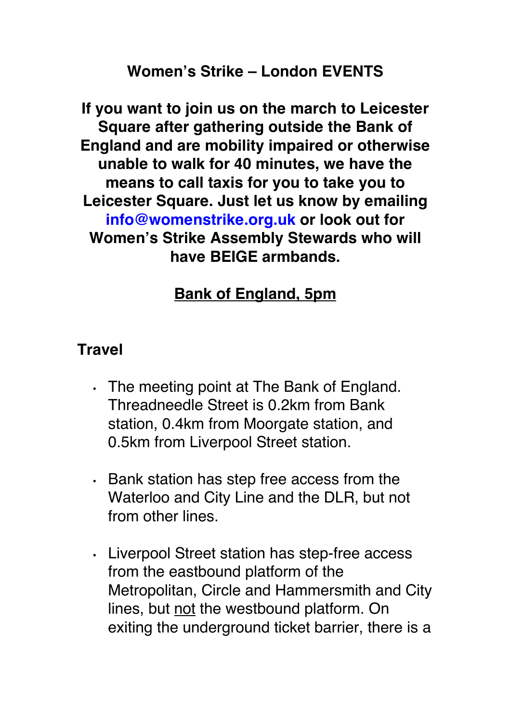### **Women's Strike – London EVENTS**

**If you want to join us on the march to Leicester Square after gathering outside the Bank of England and are mobility impaired or otherwise unable to walk for 40 minutes, we have the means to call taxis for you to take you to Leicester Square. Just let us know by emailing info@womenstrike.org.uk or look out for Women's Strike Assembly Stewards who will have BEIGE armbands.**

# **Bank of England, 5pm**

### **Travel**

- The meeting point at The Bank of England. Threadneedle Street is 0.2km from Bank station, 0.4km from Moorgate station, and 0.5km from Liverpool Street station.
- Bank station has step free access from the Waterloo and City Line and the DLR, but not from other lines.
- Liverpool Street station has step-free access from the eastbound platform of the Metropolitan, Circle and Hammersmith and City lines, but not the westbound platform. On exiting the underground ticket barrier, there is a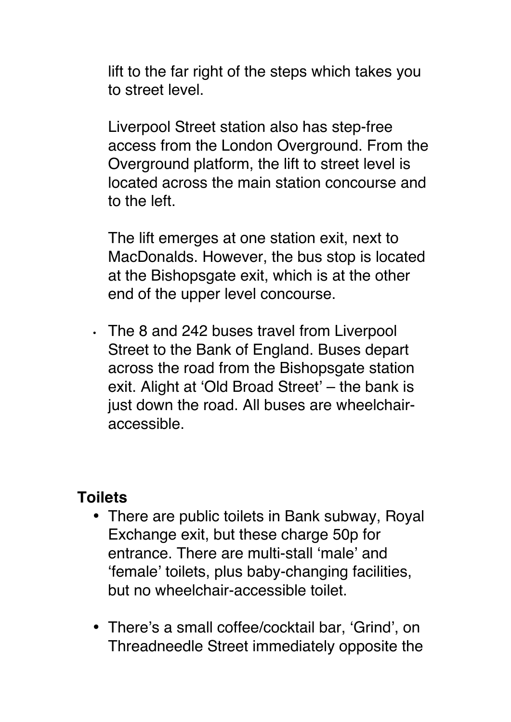lift to the far right of the steps which takes you to street level.

Liverpool Street station also has step-free access from the London Overground. From the Overground platform, the lift to street level is located across the main station concourse and to the left.

The lift emerges at one station exit, next to MacDonalds. However, the bus stop is located at the Bishopsgate exit, which is at the other end of the upper level concourse.

• The 8 and 242 buses travel from Liverpool Street to the Bank of England. Buses depart across the road from the Bishopsgate station exit. Alight at 'Old Broad Street' – the bank is just down the road. All buses are wheelchairaccessible.

#### **Toilets**

- There are public toilets in Bank subway, Royal Exchange exit, but these charge 50p for entrance. There are multi-stall 'male' and 'female' toilets, plus baby-changing facilities, but no wheelchair-accessible toilet.
- There's a small coffee/cocktail bar, 'Grind', on Threadneedle Street immediately opposite the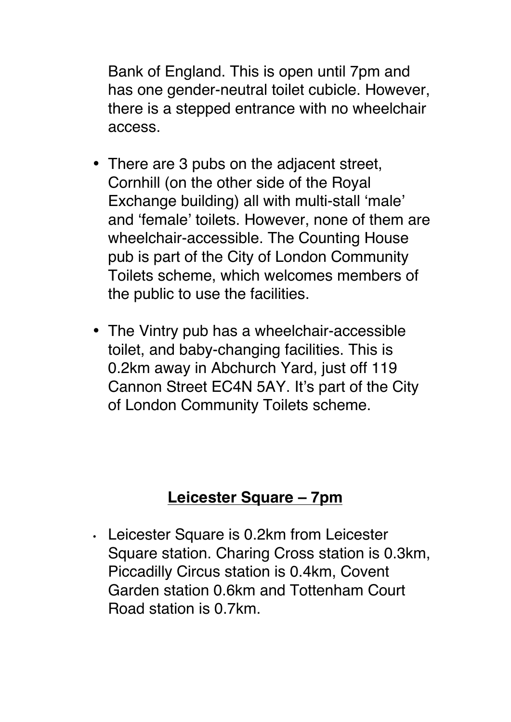Bank of England. This is open until 7pm and has one gender-neutral toilet cubicle. However, there is a stepped entrance with no wheelchair access.

- There are 3 pubs on the adjacent street, Cornhill (on the other side of the Royal Exchange building) all with multi-stall 'male' and 'female' toilets. However, none of them are wheelchair-accessible. The Counting House pub is part of the City of London Community Toilets scheme, which welcomes members of the public to use the facilities.
- The Vintry pub has a wheelchair-accessible toilet, and baby-changing facilities. This is 0.2km away in Abchurch Yard, just off 119 Cannon Street EC4N 5AY. It's part of the City of London Community Toilets scheme.

## **Leicester Square – 7pm**

• Leicester Square is 0.2km from Leicester Square station. Charing Cross station is 0.3km, Piccadilly Circus station is 0.4km, Covent Garden station 0.6km and Tottenham Court Road station is 0.7km.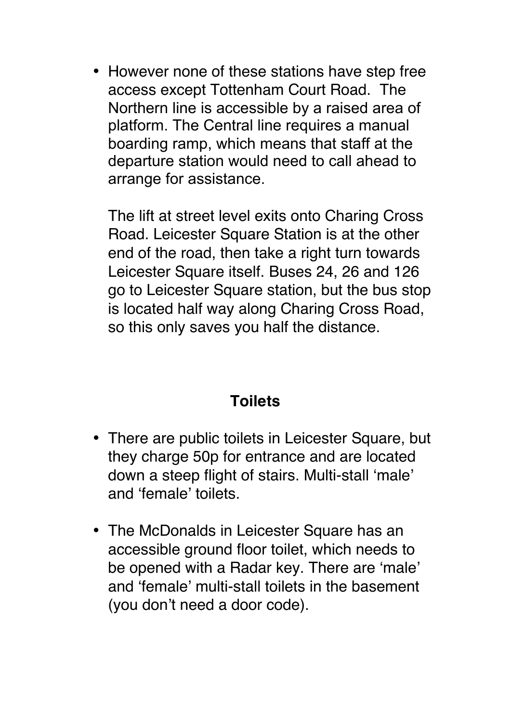• However none of these stations have step free access except Tottenham Court Road. The Northern line is accessible by a raised area of platform. The Central line requires a manual boarding ramp, which means that staff at the departure station would need to call ahead to arrange for assistance.

The lift at street level exits onto Charing Cross Road. Leicester Square Station is at the other end of the road, then take a right turn towards Leicester Square itself. Buses 24, 26 and 126 go to Leicester Square station, but the bus stop is located half way along Charing Cross Road, so this only saves you half the distance.

# **Toilets**

- There are public toilets in Leicester Square, but they charge 50p for entrance and are located down a steep flight of stairs. Multi-stall 'male' and 'female' toilets.
- The McDonalds in Leicester Square has an accessible ground floor toilet, which needs to be opened with a Radar key. There are 'male' and 'female' multi-stall toilets in the basement (you don't need a door code).